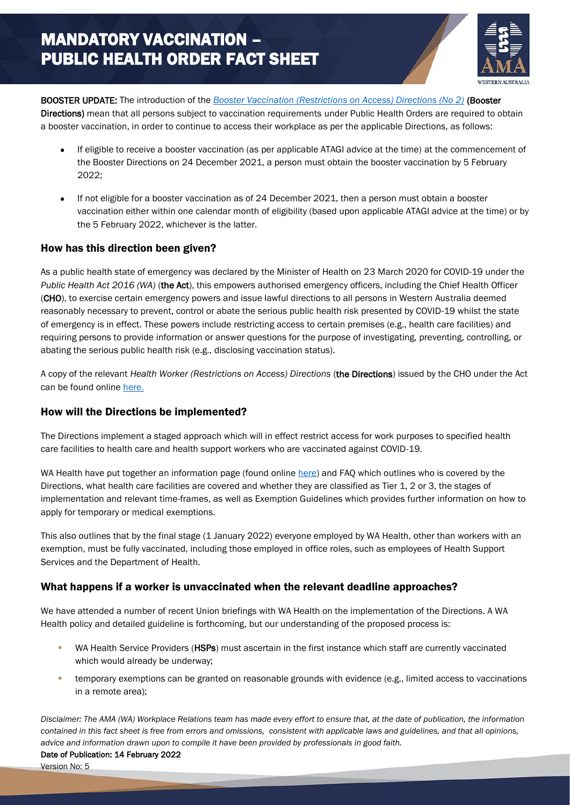

BOOSTER UPDATE: The introduction of the *[Booster Vaccination \(Restrictions on Access\) Directions \(No 2\)](https://www.wa.gov.au/government/publications/booster-vaccination-restrictions-access-directions-no2)* (Booster Directions) mean that all persons subject to vaccination requirements under Public Health Orders are required to obtain a booster vaccination, in order to continue to access their workplace as per the applicable Directions, as follows:

- If eligible to receive a booster vaccination (as per applicable ATAGI advice at the time) at the commencement of the Booster Directions on 24 December 2021, a person must obtain the booster vaccination by 5 February 2022;
- If not eligible for a booster vaccination as of 24 December 2021, then a person must obtain a booster vaccination either within one calendar month of eligibility (based upon applicable ATAGI advice at the time) or by the 5 February 2022, whichever is the latter.

## How has this direction been given?

As a public health state of emergency was declared by the Minister of Health on 23 March 2020 for COVID-19 under the *Public Health Act 2016 (WA)* (the Act), this empowers authorised emergency officers, including the Chief Health Officer (CHO), to exercise certain emergency powers and issue lawful directions to all persons in Western Australia deemed reasonably necessary to prevent, control or abate the serious public health risk presented by COVID-19 whilst the state of emergency is in effect. These powers include restricting access to certain premises (e.g., health care facilities) and requiring persons to provide information or answer questions for the purpose of investigating, preventing, controlling, or abating the serious public health risk (e.g., disclosing vaccination status).

A copy of the relevant *Health Worker (Restrictions on Access) Directions* (the Directions) issued by the CHO under the Act can be found onlin[e here.](https://www.wa.gov.au/government/publications/health-worker-restrictions-access-directions-no-4)

## How will the Directions be implemented?

The Directions implement a staged approach which will in effect restrict access for work purposes to specified health care facilities to health care and health support workers who are vaccinated against COVID-19.

WA Health have put together an information page (found onlin[e here\)](https://ww2.health.wa.gov.au/Articles/A_E/Coronavirus/COVID19-vaccination-program/Directions-for-healthcare-and-health-support-workers) and FAQ which outlines who is covered by the Directions, what health care facilities are covered and whether they are classified as Tier 1, 2 or 3, the stages of implementation and relevant time-frames, as well as Exemption Guidelines which provides further information on how to apply for temporary or medical exemptions.

This also outlines that by the final stage (1 January 2022) everyone employed by WA Health, other than workers with an exemption, must be fully vaccinated, including those employed in office roles, such as employees of Health Support Services and the Department of Health.

## What happens if a worker is unvaccinated when the relevant deadline approaches?

We have attended a number of recent Union briefings with WA Health on the implementation of the Directions. A WA Health policy and detailed guideline is forthcoming, but our understanding of the proposed process is:

- WA Health Service Providers (HSPs) must ascertain in the first instance which staff are currently vaccinated which would already be underway;
- temporary exemptions can be granted on reasonable grounds with evidence (e.g., limited access to vaccinations in a remote area);

*Disclaimer: The AMA (WA) Workplace Relations team has made every effort to ensure that, at the date of publication, the information contained in this fact sheet is free from errors and omissions, consistent with applicable laws and guidelines, and that all opinions, advice and information drawn upon to compile it have been provided by professionals in good faith.*

Version No: 5